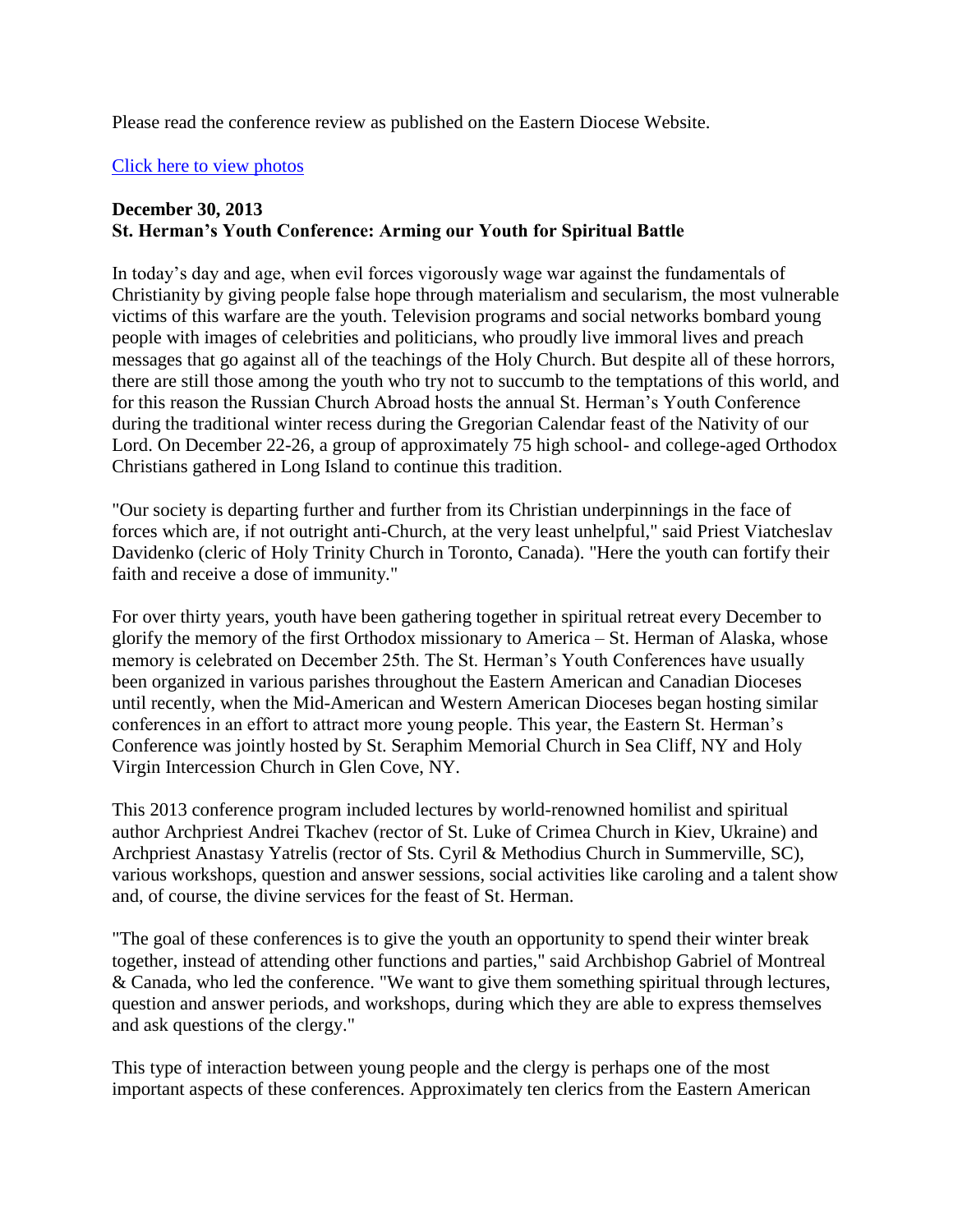Please read the conference review as published on the Eastern Diocese Website.

## [Click here to view photos](http://eadiocese.org/News/2013/dec/sthermans/index.html)

## **December 30, 2013 St. Herman's Youth Conference: Arming our Youth for Spiritual Battle**

In today's day and age, when evil forces vigorously wage war against the fundamentals of Christianity by giving people false hope through materialism and secularism, the most vulnerable victims of this warfare are the youth. Television programs and social networks bombard young people with images of celebrities and politicians, who proudly live immoral lives and preach messages that go against all of the teachings of the Holy Church. But despite all of these horrors, there are still those among the youth who try not to succumb to the temptations of this world, and for this reason the Russian Church Abroad hosts the annual St. Herman's Youth Conference during the traditional winter recess during the Gregorian Calendar feast of the Nativity of our Lord. On December 22-26, a group of approximately 75 high school- and college-aged Orthodox Christians gathered in Long Island to continue this tradition.

"Our society is departing further and further from its Christian underpinnings in the face of forces which are, if not outright anti-Church, at the very least unhelpful," said Priest Viatcheslav Davidenko (cleric of Holy Trinity Church in Toronto, Canada). "Here the youth can fortify their faith and receive a dose of immunity."

For over thirty years, youth have been gathering together in spiritual retreat every December to glorify the memory of the first Orthodox missionary to America – St. Herman of Alaska, whose memory is celebrated on December 25th. The St. Herman's Youth Conferences have usually been organized in various parishes throughout the Eastern American and Canadian Dioceses until recently, when the Mid-American and Western American Dioceses began hosting similar conferences in an effort to attract more young people. This year, the Eastern St. Herman's Conference was jointly hosted by St. Seraphim Memorial Church in Sea Cliff, NY and Holy Virgin Intercession Church in Glen Cove, NY.

This 2013 conference program included lectures by world-renowned homilist and spiritual author Archpriest Andrei Tkachev (rector of St. Luke of Crimea Church in Kiev, Ukraine) and Archpriest Anastasy Yatrelis (rector of Sts. Cyril & Methodius Church in Summerville, SC), various workshops, question and answer sessions, social activities like caroling and a talent show and, of course, the divine services for the feast of St. Herman.

"The goal of these conferences is to give the youth an opportunity to spend their winter break together, instead of attending other functions and parties," said Archbishop Gabriel of Montreal & Canada, who led the conference. "We want to give them something spiritual through lectures, question and answer periods, and workshops, during which they are able to express themselves and ask questions of the clergy."

This type of interaction between young people and the clergy is perhaps one of the most important aspects of these conferences. Approximately ten clerics from the Eastern American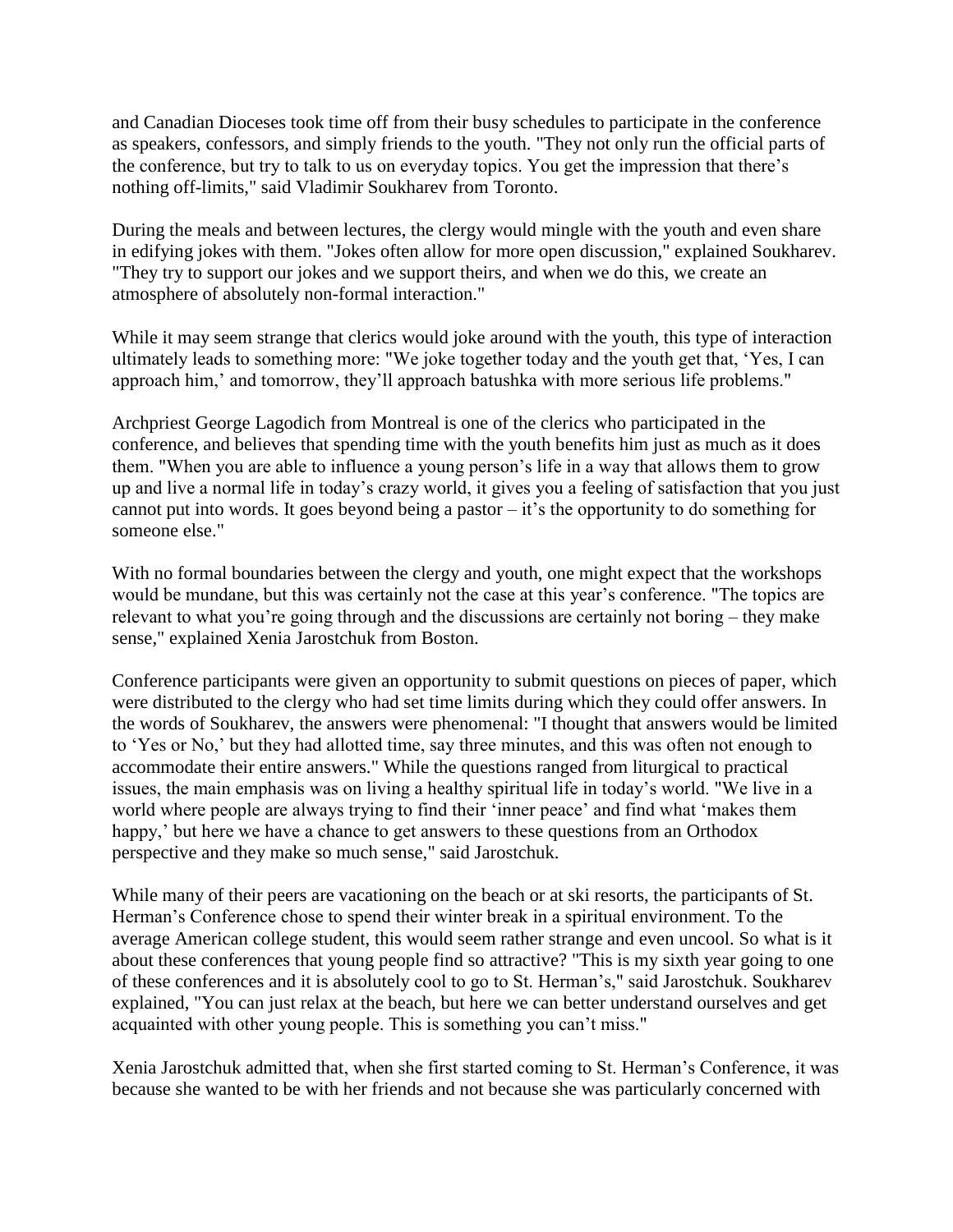and Canadian Dioceses took time off from their busy schedules to participate in the conference as speakers, confessors, and simply friends to the youth. "They not only run the official parts of the conference, but try to talk to us on everyday topics. You get the impression that there's nothing off-limits," said Vladimir Soukharev from Toronto.

During the meals and between lectures, the clergy would mingle with the youth and even share in edifying jokes with them. "Jokes often allow for more open discussion," explained Soukharev. "They try to support our jokes and we support theirs, and when we do this, we create an atmosphere of absolutely non-formal interaction."

While it may seem strange that clerics would joke around with the youth, this type of interaction ultimately leads to something more: "We joke together today and the youth get that, 'Yes, I can approach him,' and tomorrow, they'll approach batushka with more serious life problems."

Archpriest George Lagodich from Montreal is one of the clerics who participated in the conference, and believes that spending time with the youth benefits him just as much as it does them. "When you are able to influence a young person's life in a way that allows them to grow up and live a normal life in today's crazy world, it gives you a feeling of satisfaction that you just cannot put into words. It goes beyond being a pastor – it's the opportunity to do something for someone else."

With no formal boundaries between the clergy and youth, one might expect that the workshops would be mundane, but this was certainly not the case at this year's conference. "The topics are relevant to what you're going through and the discussions are certainly not boring – they make sense," explained Xenia Jarostchuk from Boston.

Conference participants were given an opportunity to submit questions on pieces of paper, which were distributed to the clergy who had set time limits during which they could offer answers. In the words of Soukharev, the answers were phenomenal: "I thought that answers would be limited to 'Yes or No,' but they had allotted time, say three minutes, and this was often not enough to accommodate their entire answers." While the questions ranged from liturgical to practical issues, the main emphasis was on living a healthy spiritual life in today's world. "We live in a world where people are always trying to find their 'inner peace' and find what 'makes them happy,' but here we have a chance to get answers to these questions from an Orthodox perspective and they make so much sense," said Jarostchuk.

While many of their peers are vacationing on the beach or at ski resorts, the participants of St. Herman's Conference chose to spend their winter break in a spiritual environment. To the average American college student, this would seem rather strange and even uncool. So what is it about these conferences that young people find so attractive? "This is my sixth year going to one of these conferences and it is absolutely cool to go to St. Herman's," said Jarostchuk. Soukharev explained, "You can just relax at the beach, but here we can better understand ourselves and get acquainted with other young people. This is something you can't miss."

Xenia Jarostchuk admitted that, when she first started coming to St. Herman's Conference, it was because she wanted to be with her friends and not because she was particularly concerned with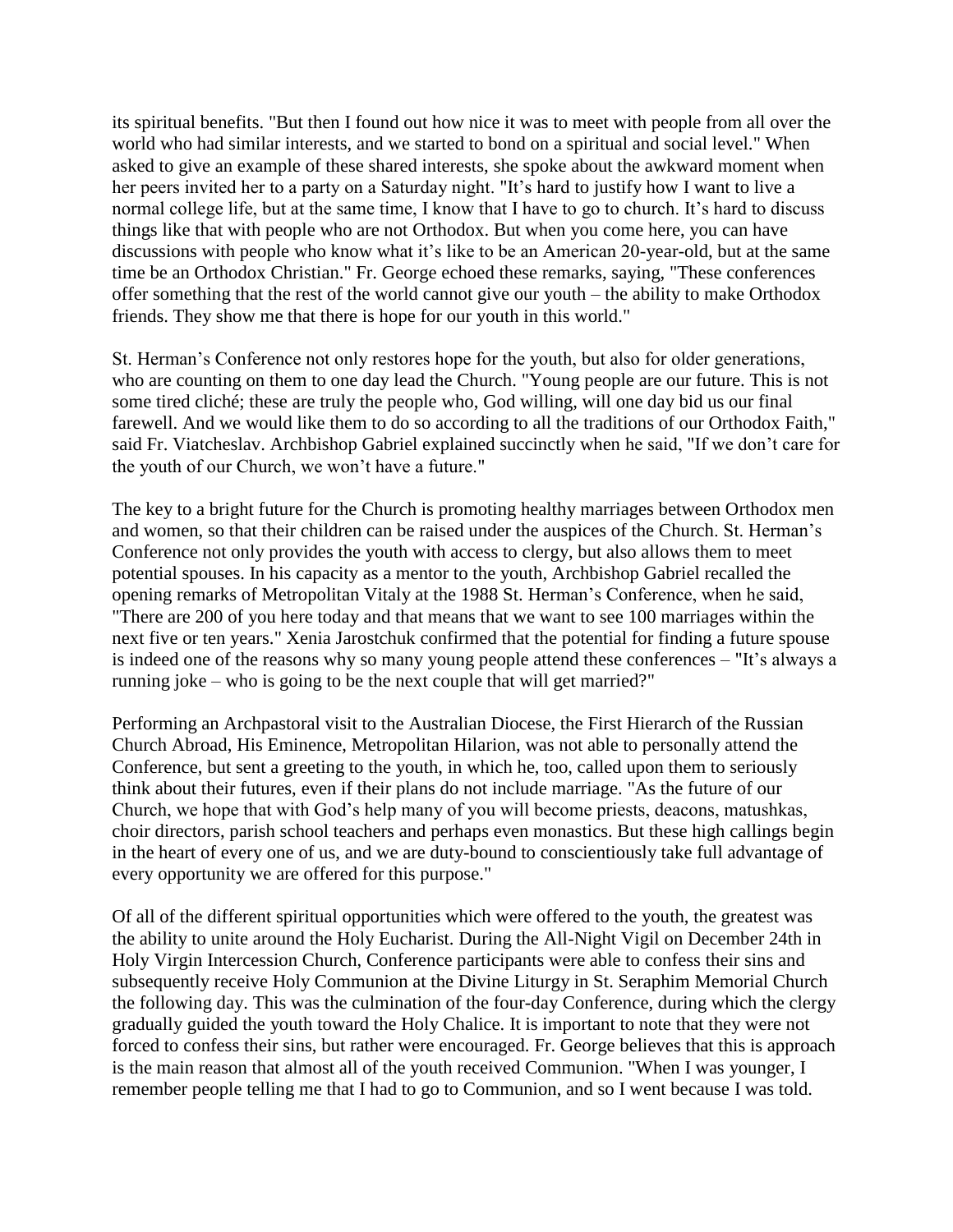its spiritual benefits. "But then I found out how nice it was to meet with people from all over the world who had similar interests, and we started to bond on a spiritual and social level." When asked to give an example of these shared interests, she spoke about the awkward moment when her peers invited her to a party on a Saturday night. "It's hard to justify how I want to live a normal college life, but at the same time, I know that I have to go to church. It's hard to discuss things like that with people who are not Orthodox. But when you come here, you can have discussions with people who know what it's like to be an American 20-year-old, but at the same time be an Orthodox Christian." Fr. George echoed these remarks, saying, "These conferences offer something that the rest of the world cannot give our youth – the ability to make Orthodox friends. They show me that there is hope for our youth in this world."

St. Herman's Conference not only restores hope for the youth, but also for older generations, who are counting on them to one day lead the Church. "Young people are our future. This is not some tired cliché; these are truly the people who, God willing, will one day bid us our final farewell. And we would like them to do so according to all the traditions of our Orthodox Faith," said Fr. Viatcheslav. Archbishop Gabriel explained succinctly when he said, "If we don't care for the youth of our Church, we won't have a future."

The key to a bright future for the Church is promoting healthy marriages between Orthodox men and women, so that their children can be raised under the auspices of the Church. St. Herman's Conference not only provides the youth with access to clergy, but also allows them to meet potential spouses. In his capacity as a mentor to the youth, Archbishop Gabriel recalled the opening remarks of Metropolitan Vitaly at the 1988 St. Herman's Conference, when he said, "There are 200 of you here today and that means that we want to see 100 marriages within the next five or ten years." Xenia Jarostchuk confirmed that the potential for finding a future spouse is indeed one of the reasons why so many young people attend these conferences – "It's always a running joke – who is going to be the next couple that will get married?"

Performing an Archpastoral visit to the Australian Diocese, the First Hierarch of the Russian Church Abroad, His Eminence, Metropolitan Hilarion, was not able to personally attend the Conference, but sent a greeting to the youth, in which he, too, called upon them to seriously think about their futures, even if their plans do not include marriage. "As the future of our Church, we hope that with God's help many of you will become priests, deacons, matushkas, choir directors, parish school teachers and perhaps even monastics. But these high callings begin in the heart of every one of us, and we are duty-bound to conscientiously take full advantage of every opportunity we are offered for this purpose."

Of all of the different spiritual opportunities which were offered to the youth, the greatest was the ability to unite around the Holy Eucharist. During the All-Night Vigil on December 24th in Holy Virgin Intercession Church, Conference participants were able to confess their sins and subsequently receive Holy Communion at the Divine Liturgy in St. Seraphim Memorial Church the following day. This was the culmination of the four-day Conference, during which the clergy gradually guided the youth toward the Holy Chalice. It is important to note that they were not forced to confess their sins, but rather were encouraged. Fr. George believes that this is approach is the main reason that almost all of the youth received Communion. "When I was younger, I remember people telling me that I had to go to Communion, and so I went because I was told.